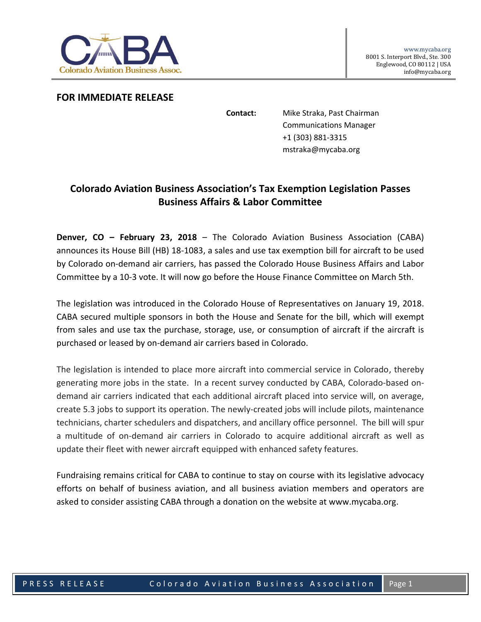

## **FOR IMMEDIATE RELEASE**

**Contact:** Mike Straka, Past Chairman Communications Manager +1 (303) 881-3315 mstraka@mycaba.org

## **Colorado Aviation Business Association's Tax Exemption Legislation Passes Business Affairs & Labor Committee**

**Denver, CO – February 23, 2018** – The Colorado Aviation Business Association (CABA) announces its House Bill (HB) 18-1083, a sales and use tax exemption bill for aircraft to be used by Colorado on-demand air carriers, has passed the Colorado House Business Affairs and Labor Committee by a 10-3 vote. It will now go before the House Finance Committee on March 5th.

The legislation was introduced in the Colorado House of Representatives on January 19, 2018. CABA secured multiple sponsors in both the House and Senate for the bill, which will exempt from sales and use tax the purchase, storage, use, or consumption of aircraft if the aircraft is purchased or leased by on-demand air carriers based in Colorado.

The legislation is intended to place more aircraft into commercial service in Colorado, thereby generating more jobs in the state. In a recent survey conducted by CABA, Colorado-based ondemand air carriers indicated that each additional aircraft placed into service will, on average, create 5.3 jobs to support its operation. The newly-created jobs will include pilots, maintenance technicians, charter schedulers and dispatchers, and ancillary office personnel. The bill will spur a multitude of on-demand air carriers in Colorado to acquire additional aircraft as well as update their fleet with newer aircraft equipped with enhanced safety features.

Fundraising remains critical for CABA to continue to stay on course with its legislative advocacy efforts on behalf of business aviation, and all business aviation members and operators are asked to consider assisting CABA through a donation on the website at www.mycaba.org.